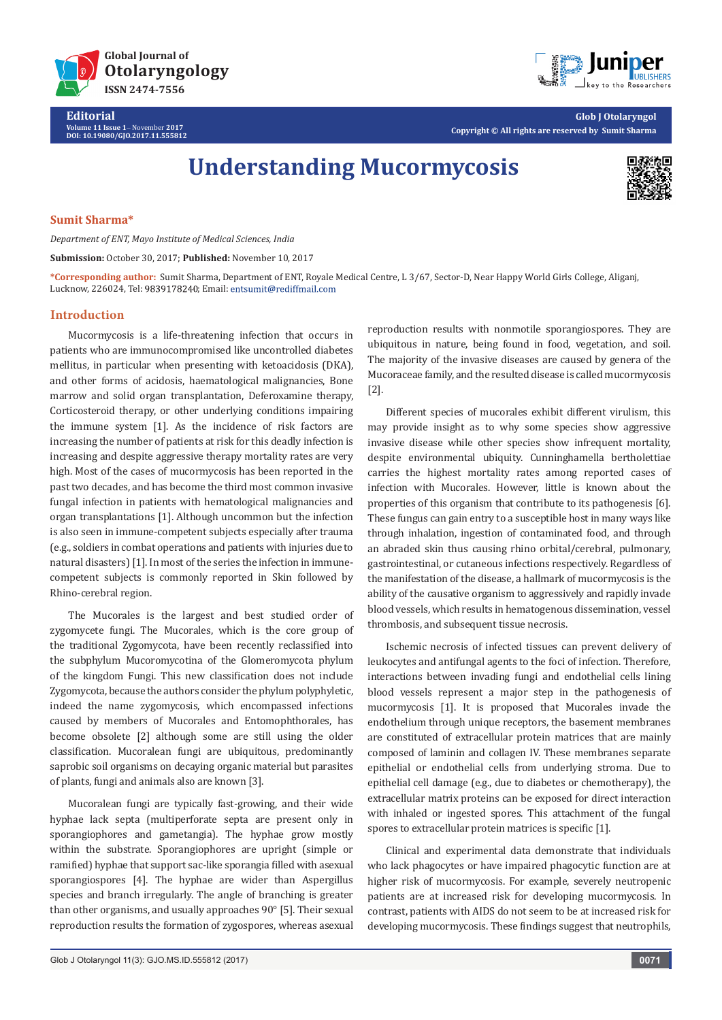

**Volume 11 Issue 1**- November **2017 DOI: [10.19080/GJO.2017.11.555812](http://dx.doi.org/10.19080/GJO.2017.11.555812)**

**Glob J Otolaryngol Copyright © All rights are reserved by Sumit Sharma**

# **Understanding Mucormycosis**



#### **Sumit Sharma\***

**Editorial**

*Department of ENT, Mayo Institute of Medical Sciences, India*

**Submission:** October 30, 2017; **Published:** November 10, 2017

**\*Corresponding author:** Sumit Sharma, Department of ENT, Royale Medical Centre, L 3/67, Sector-D, Near Happy World Girls College, Aliganj, Lucknow, 226024, Tel: 9839178240; Email: entsumit@rediffmail.com

#### **Introduction**

Mucormycosis is a life-threatening infection that occurs in patients who are immunocompromised like uncontrolled diabetes mellitus, in particular when presenting with ketoacidosis (DKA), and other forms of acidosis, haematological malignancies, Bone marrow and solid organ transplantation, Deferoxamine therapy, Corticosteroid therapy, or other underlying conditions impairing the immune system [1]. As the incidence of risk factors are increasing the number of patients at risk for this deadly infection is increasing and despite aggressive therapy mortality rates are very high. Most of the cases of mucormycosis has been reported in the past two decades, and has become the third most common invasive fungal infection in patients with hematological malignancies and organ transplantations [1]. Although uncommon but the infection is also seen in immune-competent subjects especially after trauma (e.g., soldiers in combat operations and patients with injuries due to natural disasters) [1]. In most of the series the infection in immunecompetent subjects is commonly reported in Skin followed by Rhino-cerebral region.

The Mucorales is the largest and best studied order of zygomycete fungi. The Mucorales, which is the core group of the traditional Zygomycota, have been recently reclassified into the subphylum Mucoromycotina of the Glomeromycota phylum of the kingdom Fungi. This new classification does not include Zygomycota, because the authors consider the phylum polyphyletic, indeed the name zygomycosis, which encompassed infections caused by members of Mucorales and Entomophthorales, has become obsolete [2] although some are still using the older classification. Mucoralean fungi are ubiquitous, predominantly saprobic soil organisms on decaying organic material but parasites of plants, fungi and animals also are known [3].

Mucoralean fungi are typically fast-growing, and their wide hyphae lack septa (multiperforate septa are present only in sporangiophores and gametangia). The hyphae grow mostly within the substrate. Sporangiophores are upright (simple or ramified) hyphae that support sac-like sporangia filled with asexual sporangiospores [4]. The hyphae are wider than Aspergillus species and branch irregularly. The angle of branching is greater than other organisms, and usually approaches 90° [5]. Their sexual reproduction results the formation of zygospores, whereas asexual

reproduction results with nonmotile sporangiospores. They are ubiquitous in nature, being found in food, vegetation, and soil. The majority of the invasive diseases are caused by genera of the Mucoraceae family, and the resulted disease is called mucormycosis [2].

Different species of mucorales exhibit different virulism, this may provide insight as to why some species show aggressive invasive disease while other species show infrequent mortality, despite environmental ubiquity. Cunninghamella bertholettiae carries the highest mortality rates among reported cases of infection with Mucorales. However, little is known about the properties of this organism that contribute to its pathogenesis [6]. These fungus can gain entry to a susceptible host in many ways like through inhalation, ingestion of contaminated food, and through an abraded skin thus causing rhino orbital/cerebral, pulmonary, gastrointestinal, or cutaneous infections respectively. Regardless of the manifestation of the disease, a hallmark of mucormycosis is the ability of the causative organism to aggressively and rapidly invade blood vessels, which results in hematogenous dissemination, vessel thrombosis, and subsequent tissue necrosis.

Ischemic necrosis of infected tissues can prevent delivery of leukocytes and antifungal agents to the foci of infection. Therefore, interactions between invading fungi and endothelial cells lining blood vessels represent a major step in the pathogenesis of mucormycosis [1]. It is proposed that Mucorales invade the endothelium through unique receptors, the basement membranes are constituted of extracellular protein matrices that are mainly composed of laminin and collagen IV. These membranes separate epithelial or endothelial cells from underlying stroma. Due to epithelial cell damage (e.g., due to diabetes or chemotherapy), the extracellular matrix proteins can be exposed for direct interaction with inhaled or ingested spores. This attachment of the fungal spores to extracellular protein matrices is specific [1].

Clinical and experimental data demonstrate that individuals who lack phagocytes or have impaired phagocytic function are at higher risk of mucormycosis. For example, severely neutropenic patients are at increased risk for developing mucormycosis. In contrast, patients with AIDS do not seem to be at increased risk for developing mucormycosis. These findings suggest that neutrophils,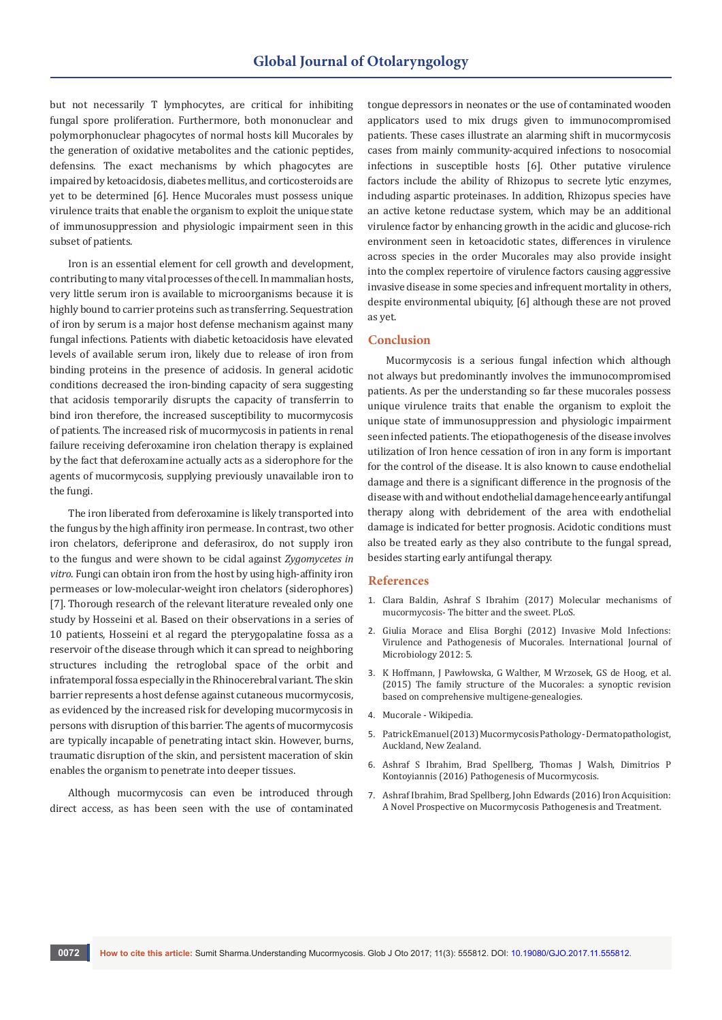but not necessarily T lymphocytes, are critical for inhibiting fungal spore proliferation. Furthermore, both mononuclear and polymorphonuclear phagocytes of normal hosts kill Mucorales by the generation of oxidative metabolites and the cationic peptides, defensins. The exact mechanisms by which phagocytes are impaired by ketoacidosis, diabetes mellitus, and corticosteroids are yet to be determined [6]. Hence Mucorales must possess unique virulence traits that enable the organism to exploit the unique state of immunosuppression and physiologic impairment seen in this subset of patients.

Iron is an essential element for cell growth and development, contributing to many vital processes of the cell. In mammalian hosts, very little serum iron is available to microorganisms because it is highly bound to carrier proteins such as transferring. Sequestration of iron by serum is a major host defense mechanism against many fungal infections. Patients with diabetic ketoacidosis have elevated levels of available serum iron, likely due to release of iron from binding proteins in the presence of acidosis. In general acidotic conditions decreased the iron-binding capacity of sera suggesting that acidosis temporarily disrupts the capacity of transferrin to bind iron therefore, the increased susceptibility to mucormycosis of patients. The increased risk of mucormycosis in patients in renal failure receiving deferoxamine iron chelation therapy is explained by the fact that deferoxamine actually acts as a siderophore for the agents of mucormycosis, supplying previously unavailable iron to the fungi.

The iron liberated from deferoxamine is likely transported into the fungus by the high affinity iron permease. In contrast, two other iron chelators, deferiprone and deferasirox, do not supply iron to the fungus and were shown to be cidal against *Zygomycetes in vitro*. Fungi can obtain iron from the host by using high-affinity iron permeases or low-molecular-weight iron chelators (siderophores) [7]. Thorough research of the relevant literature revealed only one study by Hosseini et al. Based on their observations in a series of 10 patients, Hosseini et al regard the pterygopalatine fossa as a reservoir of the disease through which it can spread to neighboring structures including the retroglobal space of the orbit and infratemporal fossa especially in the Rhinocerebral variant. The skin barrier represents a host defense against cutaneous mucormycosis, as evidenced by the increased risk for developing mucormycosis in persons with disruption of this barrier. The agents of mucormycosis are typically incapable of penetrating intact skin. However, burns, traumatic disruption of the skin, and persistent maceration of skin enables the organism to penetrate into deeper tissues.

Although mucormycosis can even be introduced through direct access, as has been seen with the use of contaminated tongue depressors in neonates or the use of contaminated wooden applicators used to mix drugs given to immunocompromised patients. These cases illustrate an alarming shift in mucormycosis cases from mainly community-acquired infections to nosocomial infections in susceptible hosts [6]. Other putative virulence factors include the ability of Rhizopus to secrete lytic enzymes, including aspartic proteinases. In addition, Rhizopus species have an active ketone reductase system, which may be an additional virulence factor by enhancing growth in the acidic and glucose-rich environment seen in ketoacidotic states, differences in virulence across species in the order Mucorales may also provide insight into the complex repertoire of virulence factors causing aggressive invasive disease in some species and infrequent mortality in others, despite environmental ubiquity, [6] although these are not proved as yet.

#### **Conclusion**

Mucormycosis is a serious fungal infection which although not always but predominantly involves the immunocompromised patients. As per the understanding so far these mucorales possess unique virulence traits that enable the organism to exploit the unique state of immunosuppression and physiologic impairment seen infected patients. The etiopathogenesis of the disease involves utilization of Iron hence cessation of iron in any form is important for the control of the disease. It is also known to cause endothelial damage and there is a significant difference in the prognosis of the disease with and without endothelial damage hence early antifungal therapy along with debridement of the area with endothelial damage is indicated for better prognosis. Acidotic conditions must also be treated early as they also contribute to the fungal spread, besides starting early antifungal therapy.

#### **References**

- 1. [Clara Baldin, Ashraf S Ibrahim \(2017\) Molecular mechanisms of](https://www.ncbi.nlm.nih.gov/pmc/articles/PMC5542377/)  [mucormycosis- The bitter and the sweet. PLoS.](https://www.ncbi.nlm.nih.gov/pmc/articles/PMC5542377/)
- 2. [Giulia Morace and Elisa Borghi \(2012\) Invasive Mold Infections:](https://www.hindawi.com/journals/ijmicro/2012/349278/)  [Virulence and Pathogenesis of Mucorales. International Journal of](https://www.hindawi.com/journals/ijmicro/2012/349278/)  [Microbiology 2012: 5.](https://www.hindawi.com/journals/ijmicro/2012/349278/)
- 3. [K Hoffmann, J Pawłowska, G Walther, M Wrzosek, GS de Hoog, et al.](https://www.ncbi.nlm.nih.gov/pmc/articles/PMC3734967/)  [\(2015\) The family structure of the Mucorales: a synoptic revision](https://www.ncbi.nlm.nih.gov/pmc/articles/PMC3734967/)  [based on comprehensive multigene-genealogies.](https://www.ncbi.nlm.nih.gov/pmc/articles/PMC3734967/)
- 4. [Mucorale Wikipedia.](https://en.wikipedia.org/wiki/Mucorales)
- 5. [Patrick Emanuel \(2013\) Mucormycosis Pathology Dermatopathologist,](https://www.dermnetnz.org/topics/mucormycosis-pathology)  [Auckland, New Zealand.](https://www.dermnetnz.org/topics/mucormycosis-pathology)
- 6. [Ashraf S Ibrahim, Brad Spellberg, Thomas J Walsh, Dimitrios P](https://www.ncbi.nlm.nih.gov/pmc/articles/PMC3286196/)  [Kontoyiannis \(2016\) Pathogenesis of Mucormycosis.](https://www.ncbi.nlm.nih.gov/pmc/articles/PMC3286196/)
- 7. [Ashraf Ibrahim, Brad Spellberg, John Edwards \(2016\) Iron Acquisition:](https://www.ncbi.nlm.nih.gov/pubmed/18978530)  [A Novel Prospective on Mucormycosis Pathogenesis and Treatment.](https://www.ncbi.nlm.nih.gov/pubmed/18978530)